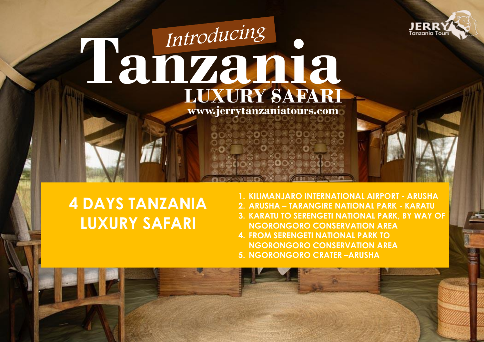

# **Tanzania LUXURY SAFARI www.jerrytanzaniatours.com**

## **4 DAYS TANZANIA LUXURY SAFARI**

- **1. KILIMANJARO INTERNATIONAL AIRPORT - ARUSHA**
- **2. ARUSHA – TARANGIRE NATIONAL PARK - KARATU**
- **3. KARATU TO SERENGETI NATIONAL PARK, BY WAY OF NGORONGORO CONSERVATION AREA**
- **4. FROM SERENGETI NATIONAL PARK TO NGORONGORO CONSERVATION AREA**
- **5. NGORONGORO CRATER –ARUSHA**



ு≙்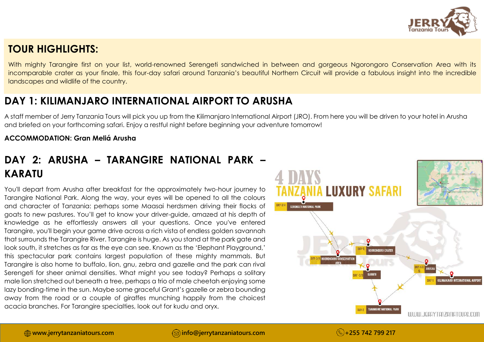

#### **TOUR HIGHLIGHTS:**

With mighty Tarangire first on your list, world-renowned Serengeti sandwiched in between and gorgeous Ngorongoro Conservation Area with its incomparable crater as your finale, this four-day safari around Tanzania's beautiful Northern Circuit will provide a fabulous insight into the incredible landscapes and wildlife of the country.

## **DAY 1: KILIMANJARO INTERNATIONAL AIRPORT TO ARUSHA**

A staff member of Jerry Tanzania Tours will pick you up from the Kilimanjaro International Airport (JRO). From here you will be driven to your hotel in Arusha and briefed on your forthcoming safari. Enjoy a restful night before beginning your adventure tomorrow!

#### **ACCOMMODATION: Gran Meliá Arusha**

## **DAY 2: ARUSHA – TARANGIRE NATIONAL PARK – KARATU**

You'll depart from Arusha after breakfast for the approximately two-hour journey to Tarangire National Park. Along the way, your eyes will be opened to all the colours and character of Tanzania: perhaps some Maasai herdsmen driving their flocks of goats to new pastures. You'll get to know your driver-guide, amazed at his depth of knowledge as he effortlessly answers all your questions. Once you've entered Tarangire, you'll begin your game drive across a rich vista of endless golden savannah that surrounds the Tarangire River. Tarangire is huge. As you stand at the park gate and look south, it stretches as far as the eye can see. Known as the 'Elephant Playground,' this spectacular park contains largest population of these mighty mammals. But Tarangire is also home to buffalo, lion, gnu, zebra and gazelle and the park can rival Serengeti for sheer animal densities. What might you see today? Perhaps a solitary male lion stretched out beneath a tree, perhaps a trio of male cheetah enjoying some lazy bonding-time in the sun. Maybe some graceful Grant's gazelle or zebra bounding away from the road or a couple of giraffes munching happily from the choicest acacia branches. For Tarangire specialties, look out for kudu and oryx.

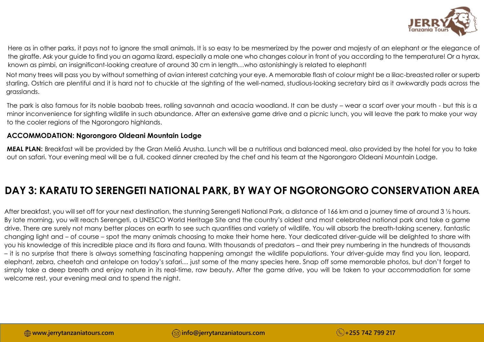

Here as in other parks, it pays not to ignore the small animals. It is so easy to be mesmerized by the power and majesty of an elephant or the elegance of the giraffe. Ask your guide to find you an agama lizard, especially a male one who changes colour in front of you according to the temperature! Or a hyrax, known as pimbi, an insignificant-looking creature of around 30 cm in length…who astonishingly is related to elephant!

Not many trees will pass you by without something of avian interest catching your eye. A memorable flash of colour might be a lilac-breasted roller or superb starling. Ostrich are plentiful and it is hard not to chuckle at the sighting of the well-named, studious-looking secretary bird as it awkwardly pads across the grasslands.

The park is also famous for its noble baobab trees, rolling savannah and acacia woodland. It can be dusty – wear a scarf over your mouth - but this is a minor inconvenience for sighting wildlife in such abundance. After an extensive game drive and a picnic lunch, you will leave the park to make your way to the cooler regions of the Ngorongoro highlands.

#### **ACCOMMODATION: Ngorongoro Oldeani Mountain Lodge**

**MEAL PLAN:** Breakfast will be provided by the Gran Meliá Arusha. Lunch will be a nutritious and balanced meal, also provided by the hotel for you to take out on safari. Your evening meal will be a full, cooked dinner created by the chef and his team at the Ngorongoro Oldeani Mountain Lodge.

### **DAY 3: KARATU TO SERENGETI NATIONAL PARK, BY WAY OF NGORONGORO CONSERVATION AREA**

After breakfast, you will set off for your next destination, the stunning Serengeti National Park, a distance of 166 km and a journey time of around 3  $\frac{1}{2}$  hours. By late morning, you will reach Serengeti, a UNESCO World Heritage Site and the country's oldest and most celebrated national park and take a game drive. There are surely not many better places on earth to see such quantities and variety of wildlife. You will absorb the breath-taking scenery, fantastic changing light and – of course – spot the many animals choosing to make their home here. Your dedicated driver-guide will be delighted to share with you his knowledge of this incredible place and its flora and fauna. With thousands of predators – and their prey numbering in the hundreds of thousands – it is no surprise that there is always something fascinating happening amongst the wildlife populations. Your driver-guide may find you lion, leopard, elephant, zebra, cheetah and antelope on today's safari… just some of the many species here. Snap off some memorable photos, but don't forget to simply take a deep breath and enjoy nature in its real-time, raw beauty. After the game drive, you will be taken to your accommodation for some welcome rest, your evening meal and to spend the night.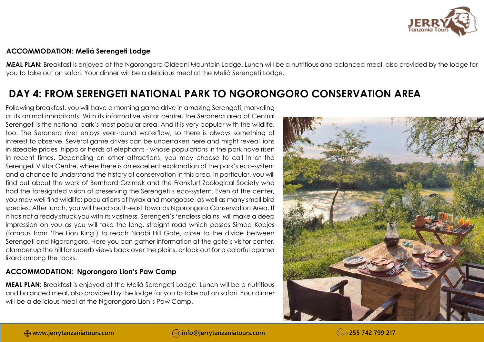

#### **ACCOMMODATION: Meliá Serengeti Lodge**

**MEAL PLAN:** Breakfast is enjoyed at the Ngorongoro Oldeani Mountain Lodge. Lunch will be a nutritious and balanced meal, also provided by the lodge for you to take out on safari. Your dinner will be a delicious meal at the Meliá Serengeti Lodge.

## **DAY 4: FROM SERENGETI NATIONAL PARK TO NGORONGORO CONSERVATION AREA**

Following breakfast, you will have a morning game drive in amazing Serengeti, marveling at its animal inhabitants. With its informative visitor centre, the Seronera area of Central Serengeti is the national park's most popular area. And it is very popular with the wildlife, too. The Seronera river enjoys year-round waterflow, so there is always something of interest to observe. Several game drives can be undertaken here and might reveal lions in sizeable prides, hippo or herds of elephants - whose populations in the park have risen in recent times. Depending on other attractions, you may choose to call in at the Serengeti Visitor Centre, where there is an excellent explanation of the park's eco-system and a chance to understand the history of conservation in this area. In particular, you will find out about the work of Bernhard Grzimek and the Frankfurt Zoological Society who had the foresighted vision of preserving the Serengeti's eco-system. Even at the center, you may well find wildlife: populations of hyrax and mongoose, as well as many small bird species. After lunch, you will head south-east towards Ngorongoro Conservation Area. If it has not already struck you with its vastness, Serengeti's 'endless plains' will make a deep impression on you as you will take the long, straight road which passes Simba Kopjes (famous from 'The Lion King') to reach Naabi Hill Gate, close to the divide between Serengeti and Ngorongoro. Here you can gather information at the gate's visitor center, clamber up the hill for superb views back over the plains, or look out for a colorful agama lizard among the rocks.

#### **ACCOMMODATION: Ngorongoro Lion's Paw Camp**

**MEAL PLAN:** Breakfast is enjoyed at the Meliá Serengeti Lodge. Lunch will be a nutritious and balanced meal, also provided by the lodge for you to take out on safari. Your dinner will be a delicious meal at the Ngorongoro Lion's Paw Camp.

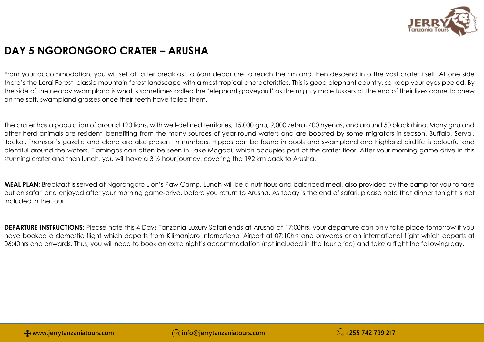

## **DAY 5 NGORONGORO CRATER – ARUSHA**

From your accommodation, you will set off after breakfast, a 6am departure to reach the rim and then descend into the vast crater itself. At one side there's the Lerai Forest, classic mountain forest landscape with almost tropical characteristics. This is good elephant country, so keep your eyes peeled. By the side of the nearby swampland is what is sometimes called the 'elephant graveyard' as the mighty male tuskers at the end of their lives come to chew on the soft, swampland grasses once their teeth have failed them.

The crater has a population of around 120 lions, with well-defined territories; 15,000 gnu, 9,000 zebra, 400 hyenas, and around 50 black rhino. Many gnu and other herd animals are resident, benefiting from the many sources of year-round waters and are boosted by some migrators in season. Buffalo, Serval, Jackal, Thomson's gazelle and eland are also present in numbers. Hippos can be found in pools and swampland and highland birdlife is colourful and plentiful around the waters. Flamingos can often be seen in Lake Magadi, which occupies part of the crater floor. After your morning game drive in this stunning crater and then lunch, you will have a 3 ½ hour journey, covering the 192 km back to Arusha.

**MEAL PLAN:** Breakfast is served at Ngorongoro Lion's Paw Camp. Lunch will be a nutritious and balanced meal, also provided by the camp for you to take out on safari and enjoyed after your morning game-drive, before you return to Arusha. As today is the end of safari, please note that dinner tonight is not included in the tour.

**DEPARTURE INSTRUCTIONS:** Please note this 4 Days Tanzania Luxury Safari ends at Arusha at 17:00hrs, your departure can only take place tomorrow if you have booked a domestic flight which departs from Kilimanjaro International Airport at 07:10hrs and onwards or an international flight which departs at 06:40hrs and onwards. Thus, you will need to book an extra night's accommodation (not included in the tour price) and take a flight the following day.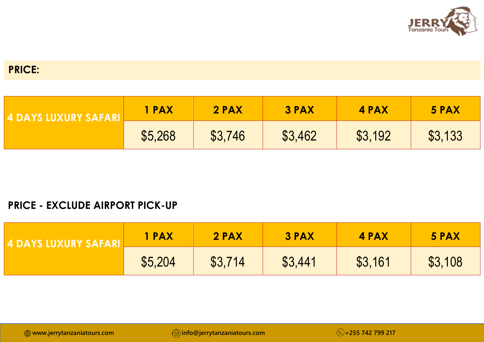

#### **PRICE:**

| LA DAYS HIXURY SAFARIT | 1 PAX   | 2 PAX   | <b>3 PAX</b> | 4 PAX   | 5 PAX   |
|------------------------|---------|---------|--------------|---------|---------|
|                        | \$5,268 | \$3,746 | \$3,462      | \$3,192 | \$3,133 |

#### **PRICE - EXCLUDE AIRPORT PICK-UP**

| <b>4 DAYS LUXURY SAFARIL</b> | 1 PAX   | 2 PAX   | 3 PAX   | <b>4 PAX</b> | 5 PAX   |
|------------------------------|---------|---------|---------|--------------|---------|
|                              | \$5,204 | \$3,714 | \$3,441 | \$3,161      | \$3,108 |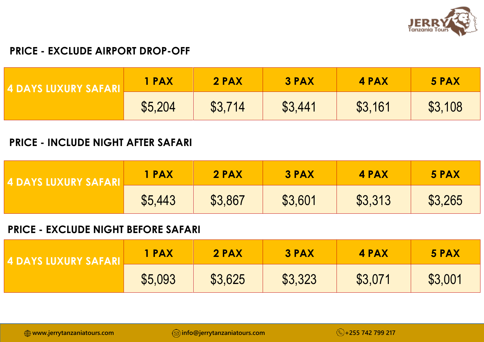

#### **PRICE - EXCLUDE AIRPORT DROP-OFF**

| <u>IZ DAYS LUXURY SAFARI </u> | 1 PAX   | 2 PAX   | <b>3 PAX</b> | 4 PAX   | 5 PAX   |
|-------------------------------|---------|---------|--------------|---------|---------|
|                               | \$5,204 | \$3,714 | \$3,441      | \$3,161 | \$3,108 |

#### **PRICE - INCLUDE NIGHT AFTER SAFARI**

| <b>4 DAYS LUXURY SAFARI</b> | <b>1 PAX</b> | 2 PAX   | <b>3 PAX</b> | 4 PAX   | 5 PAX   |
|-----------------------------|--------------|---------|--------------|---------|---------|
|                             | \$5,443      | \$3,867 | \$3,601      | \$3,313 | \$3,265 |

#### **PRICE - EXCLUDE NIGHT BEFORE SAFARI**

| <u>I 4 DAYS LUXURY SAFARI</u> | 1 PAX   | 2 PAX   | 3 PAX   | 4 PAX   | 5 PAX   |
|-------------------------------|---------|---------|---------|---------|---------|
|                               | \$5,093 | \$3,625 | \$3,323 | \$3,071 | \$3,001 |